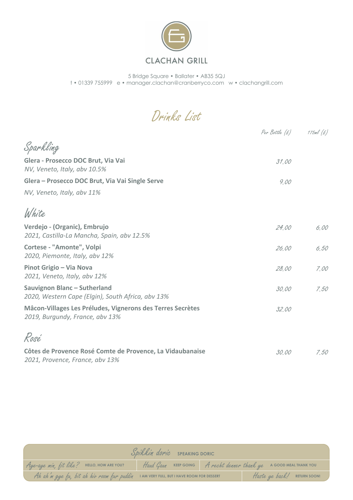

## **CLACHAN GRILL**

5 Bridge Square **•** Ballater **•** AB35 5QJ t **•** 01339 755999 e **•** manager.clachan@cranberryco.com w **•** clachangrill.com

Drinks List

|                                                                                               | Per Bottle $(E)$ 175ml $(E)$ |      |
|-----------------------------------------------------------------------------------------------|------------------------------|------|
| Sparkling                                                                                     |                              |      |
| Glera - Prosecco DOC Brut, Via Vai<br>NV, Veneto, Italy, abv 10.5%                            | 31.00                        |      |
| Glera - Prosecco DOC Brut, Via Vai Single Serve                                               | 9.00                         |      |
| NV, Veneto, Italy, abv 11%                                                                    |                              |      |
| White                                                                                         |                              |      |
| Verdejo - (Organic), Embrujo<br>2021, Castilla-La Mancha, Spain, abv 12.5%                    | 24.00                        | 6.00 |
| Cortese - "Amonte", Volpi<br>2020, Piemonte, Italy, abv 12%                                   | 26,00                        | 6,50 |
| Pinot Grigio - Via Nova<br>2021, Veneto, Italy, abv 12%                                       | 28.00                        | 7.00 |
| Sauvignon Blanc - Sutherland<br>2020, Western Cape (Elgin), South Africa, abv 13%             | 30.00                        | 7.50 |
| Mâcon-Villages Les Préludes, Vignerons des Terres Secrètes<br>2019, Burgundy, France, abv 13% | 32.00                        |      |
| Rosé                                                                                          |                              |      |
| Côtes de Provence Rosé Comte de Provence, La Vidaubanaise<br>2021, Provence, France, abv 13%  | 30.00                        | 7.50 |

|                                                                                                               | Spikkin dorie SPEAKING DORIC |  |  |                             |
|---------------------------------------------------------------------------------------------------------------|------------------------------|--|--|-----------------------------|
| Aye-aye min, fit like? HELLO, HOW ARE YOU? Haud Gaun KEEP GOING A recht denner thank ye A GOOD MEAL THANK YOU |                              |  |  |                             |
| Ah ah m gye fu, bit ah hiv room fur puddin I AM VERY FULL, BUT I HAVE ROOM FOR DESSERT                        |                              |  |  | Haste ye back! RETURN SOON! |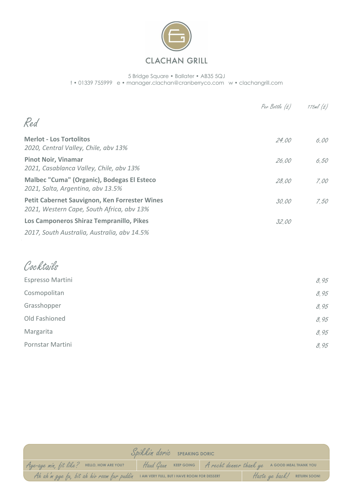

## **CLACHAN GRILL**

5 Bridge Square **•** Ballater **•** AB35 5QJ t **•** 01339 755999 e **•** manager.clachan@cranberryco.com w **•** clachangrill.com

|                                                                                            | Per Bottle $(f)$ 175ml $(f)$ |      |
|--------------------------------------------------------------------------------------------|------------------------------|------|
| Red                                                                                        |                              |      |
| <b>Merlot - Los Tortolitos</b><br>2020, Central Valley, Chile, abv 13%                     | 24.00                        | 6.00 |
| <b>Pinot Noir, Vinamar</b><br>2021, Casablanca Valley, Chile, abv 13%                      | 26.00                        | 6,50 |
| Malbec "Cuma" (Organic), Bodegas El Esteco<br>2021, Salta, Argentina, abv 13.5%            | 28.00                        | 7.00 |
| Petit Cabernet Sauvignon, Ken Forrester Wines<br>2021, Western Cape, South Africa, abv 13% | 30.00                        | 7.50 |
| Los Camponeros Shiraz Tempranillo, Pikes                                                   | 32.00                        |      |
| 2017, South Australia, Australia, abv 14.5%                                                |                              |      |

## Cocktails Espresso Martini  $\delta$ , 95  $\infty$ Sosmopolitan  $\delta$ , 95 Grasshopper  $\delta$ , 95 Old Fashioned  $8.95$ Margarita  $\delta$ , 95 Pornstar Martini 8.95

|                                                                                                               | Spikkin doric SPEAKING DORIC |  |  |                             |
|---------------------------------------------------------------------------------------------------------------|------------------------------|--|--|-----------------------------|
| Aye-aye min, fit like? HELLO, HOW ARE YOU? Haud Gaun KEEP GOING A recht denner thank ye A GOOD MEAL THANK YOU |                              |  |  |                             |
| Ah ah'm gye fu, bit ah hiv room fur puddin IAMVERY FULL, BUT I HAVE ROOM FOR DESSERT                          |                              |  |  | Haste ye back! RETURN SOON! |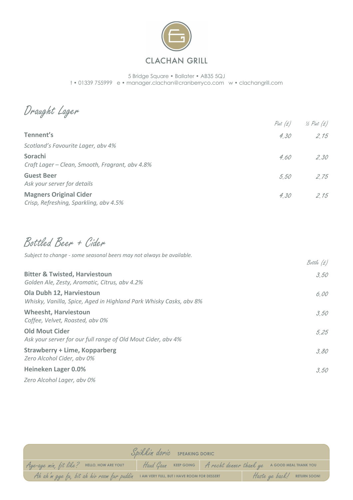

## **CLACHAN GRILL**

5 Bridge Square **•** Ballater **•** AB35 5QJ t **•** 01339 755999 e **•** manager.clachan@cranberryco.com w **•** clachangrill.com

Draught Lager

|                                                                         | Pint $(E)$ | $\frac{1}{2}$ Pint $(E)$ |
|-------------------------------------------------------------------------|------------|--------------------------|
| Tennent's                                                               | 4.30       | 2.15                     |
| Scotland's Favourite Lager, abv 4%                                      |            |                          |
| Sorachi<br>Craft Lager - Clean, Smooth, Fragrant, abv 4.8%              | 4.60       | 2,30                     |
| <b>Guest Beer</b><br>Ask your server for details                        | 5.50       | 2.75                     |
| <b>Magners Original Cider</b><br>Crisp, Refreshing, Sparkling, abv 4.5% | 4,30       | 2.15                     |

Bottled Beer + Cider

*Subject to change - some seasonal beers may not always be available.*

|                                                                                                | Bottle (£) |
|------------------------------------------------------------------------------------------------|------------|
| <b>Bitter &amp; Twisted, Harviestoun</b><br>Golden Ale, Zesty, Aromatic, Citrus, abv 4.2%      | 3.50       |
| Ola Dubh 12, Harviestoun<br>Whisky, Vanilla, Spice, Aged in Highland Park Whisky Casks, abv 8% | 6.00       |
| <b>Wheesht, Harviestoun</b><br>Coffee, Velvet, Roasted, abv 0%                                 | 3.50       |
| <b>Old Mout Cider</b><br>Ask your server for our full range of Old Mout Cider, abv 4%          | 5.25       |
| <b>Strawberry + Lime, Kopparberg</b><br>Zero Alcohol Cider, abv 0%                             | 3.80       |
| <b>Heineken Lager 0.0%</b>                                                                     | 3.50       |
| Zero Alcohol Lager, aby 0%                                                                     |            |

|                                                                                                               | Spikkin doric SPEAKING DORIC |                             |  |
|---------------------------------------------------------------------------------------------------------------|------------------------------|-----------------------------|--|
| Aye-aye min, fit like? HELLO, HOW ARE YOU? Haud Gaun KEEP GOING A recht denner thank ye A GOOD MEAL THANK YOU |                              |                             |  |
| Ah ah'm gye fu, bit ah hiv room fur puddin IAMVERY FULL, BUTI HAVE ROOM FOR DESSERT                           |                              | Haste ye back! RETURN SOON! |  |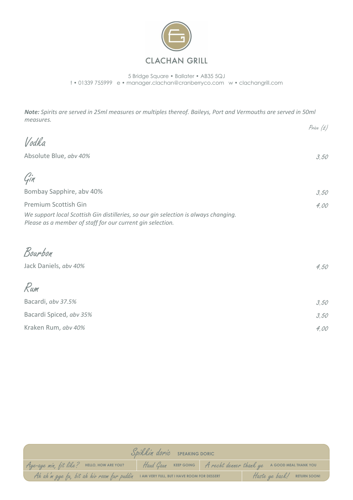

5 Bridge Square **•** Ballater **•** AB35 5QJ t **•** 01339 755999 e **•** manager.clachan@cranberryco.com w **•** clachangrill.com

*Note: Spirits are served in 25ml measures or multiples thereof. Baileys, Port and Vermouths are served in 50ml measures.*

|                                                                                                                                                                            | Price (£) |
|----------------------------------------------------------------------------------------------------------------------------------------------------------------------------|-----------|
| Vodka                                                                                                                                                                      |           |
| Absolute Blue, abv 40%                                                                                                                                                     | 3,50      |
| Gin                                                                                                                                                                        |           |
| Bombay Sapphire, abv 40%                                                                                                                                                   | 3,50      |
| Premium Scottish Gin<br>We support local Scottish Gin distilleries, so our gin selection is always changing.<br>Please as a member of staff for our current gin selection. | 4.00      |
| Bourbon                                                                                                                                                                    |           |
| Jack Daniels, abv 40%                                                                                                                                                      | 4.50      |
| Rum                                                                                                                                                                        |           |
| Bacardi, abv 37.5%                                                                                                                                                         | 3,50      |
| Bacardi Spiced, abv 35%                                                                                                                                                    | 3,50      |
| Kraken Rum, abv 40%                                                                                                                                                        | 4,00      |

|                                                                                                               | Spikkin doric SPEAKING DORIC |                             |
|---------------------------------------------------------------------------------------------------------------|------------------------------|-----------------------------|
| Aye-aye min, fit like? HELLO, HOW ARE YOU? Haud Gaun KEEP GOING A recht denner thank ye A GOOD MEAL THANK YOU |                              |                             |
| Ah ah in gye fu, bit ah hiv room fur puddin IAMVERY FULL, BUT I HAVE ROOM FOR DESSERT                         |                              | Haste ye back! RETURN SOON! |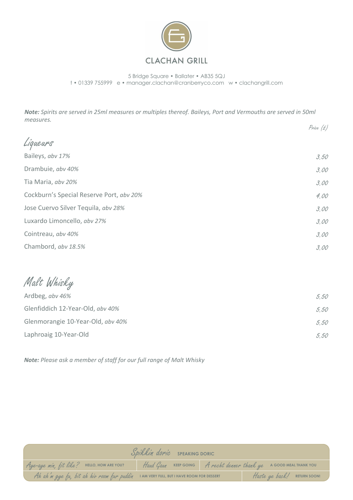

5 Bridge Square **•** Ballater **•** AB35 5QJ t **•** 01339 755999 e **•** manager.clachan@cranberryco.com w **•** clachangrill.com

*Note: Spirits are served in 25ml measures or multiples thereof. Baileys, Port and Vermouths are served in 50ml measures.*

|                                          | Price (£) |
|------------------------------------------|-----------|
| Liqueurs                                 |           |
| Baileys, abv 17%                         | 3,50      |
| Drambuie, abv 40%                        | 3,00      |
| Tia Maria, abv 20%                       | 3,00      |
| Cockburn's Special Reserve Port, abv 20% | 4,00      |
| Jose Cuervo Silver Tequila, abv 28%      | 3,00      |
| Luxardo Limoncello, abv 27%              | 3,00      |
| Cointreau, abv 40%                       | 3,00      |
| Chambord, abv 18.5%                      | 3,00      |

Malt Whisky

| 5.50 |
|------|
| 5.50 |
| 5.50 |
| 5.50 |
|      |

*Note: Please ask a member of staff for our full range of Malt Whisky*

|                                                                                        | Spikkin doric SPEAKING DORIC |                                                                    |
|----------------------------------------------------------------------------------------|------------------------------|--------------------------------------------------------------------|
| Aye-aye min, fit like? HELLO, HOW ARE YOU?                                             |                              | Haud Gaun KEEP GOING A recht denner thank ye A GOOD MEAL THANK YOU |
| At at m gye fa, bit at hiv room fur paddin I AM VERY FULL, BUT I HAVE ROOM FOR DESSERT |                              | Haste ye back! RETURN SOON!                                        |